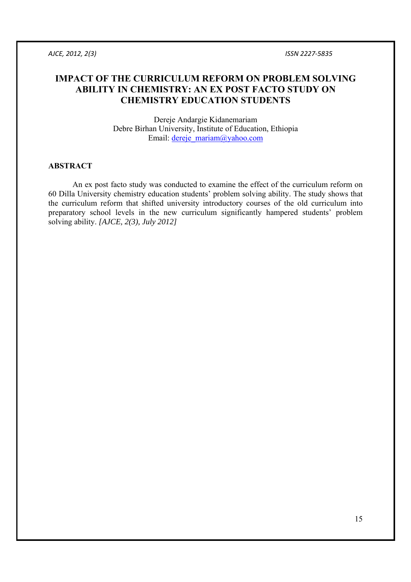# **IMPACT OF THE CURRICULUM REFORM ON PROBLEM SOLVING ABILITY IN CHEMISTRY: AN EX POST FACTO STUDY ON CHEMISTRY EDUCATION STUDENTS**

Dereje Andargie Kidanemariam Debre Birhan University, Institute of Education, Ethiopia Email: dereje\_mariam@yahoo.com

### **ABSTRACT**

 An ex post facto study was conducted to examine the effect of the curriculum reform on 60 Dilla University chemistry education students' problem solving ability. The study shows that the curriculum reform that shifted university introductory courses of the old curriculum into preparatory school levels in the new curriculum significantly hampered students' problem solving ability. *[AJCE, 2(3), July 2012]*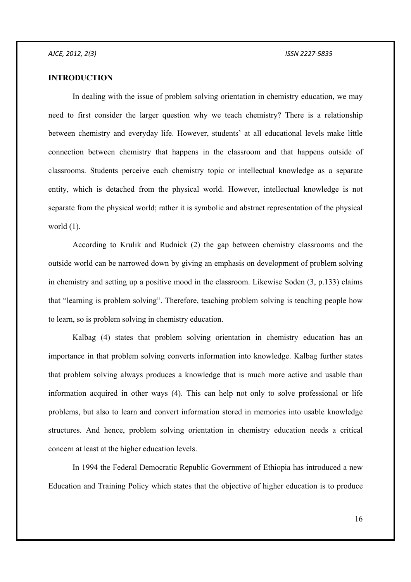### **INTRODUCTION**

 In dealing with the issue of problem solving orientation in chemistry education, we may need to first consider the larger question why we teach chemistry? There is a relationship between chemistry and everyday life. However, students' at all educational levels make little connection between chemistry that happens in the classroom and that happens outside of classrooms. Students perceive each chemistry topic or intellectual knowledge as a separate entity, which is detached from the physical world. However, intellectual knowledge is not separate from the physical world; rather it is symbolic and abstract representation of the physical world (1).

 According to Krulik and Rudnick (2) the gap between chemistry classrooms and the outside world can be narrowed down by giving an emphasis on development of problem solving in chemistry and setting up a positive mood in the classroom. Likewise Soden (3, p.133) claims that "learning is problem solving". Therefore, teaching problem solving is teaching people how to learn, so is problem solving in chemistry education.

 Kalbag (4) states that problem solving orientation in chemistry education has an importance in that problem solving converts information into knowledge. Kalbag further states that problem solving always produces a knowledge that is much more active and usable than information acquired in other ways (4). This can help not only to solve professional or life problems, but also to learn and convert information stored in memories into usable knowledge structures. And hence, problem solving orientation in chemistry education needs a critical concern at least at the higher education levels.

 In 1994 the Federal Democratic Republic Government of Ethiopia has introduced a new Education and Training Policy which states that the objective of higher education is to produce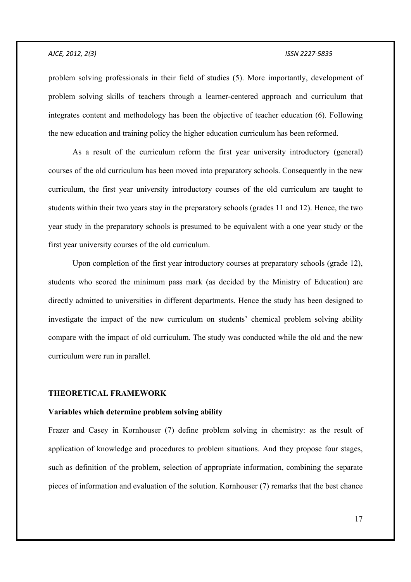problem solving professionals in their field of studies (5). More importantly, development of problem solving skills of teachers through a learner-centered approach and curriculum that integrates content and methodology has been the objective of teacher education (6). Following the new education and training policy the higher education curriculum has been reformed.

 As a result of the curriculum reform the first year university introductory (general) courses of the old curriculum has been moved into preparatory schools. Consequently in the new curriculum, the first year university introductory courses of the old curriculum are taught to students within their two years stay in the preparatory schools (grades 11 and 12). Hence, the two year study in the preparatory schools is presumed to be equivalent with a one year study or the first year university courses of the old curriculum.

 Upon completion of the first year introductory courses at preparatory schools (grade 12), students who scored the minimum pass mark (as decided by the Ministry of Education) are directly admitted to universities in different departments. Hence the study has been designed to investigate the impact of the new curriculum on students' chemical problem solving ability compare with the impact of old curriculum. The study was conducted while the old and the new curriculum were run in parallel.

### **THEORETICAL FRAMEWORK**

### **Variables which determine problem solving ability**

Frazer and Casey in Kornhouser (7) define problem solving in chemistry: as the result of application of knowledge and procedures to problem situations. And they propose four stages, such as definition of the problem, selection of appropriate information, combining the separate pieces of information and evaluation of the solution. Kornhouser (7) remarks that the best chance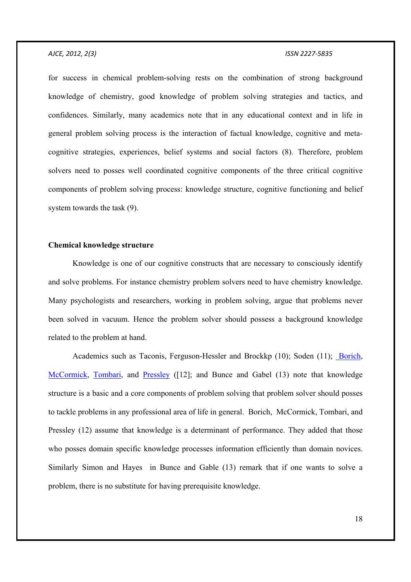for success in chemical problem-solving rests on the combination of strong background knowledge of chemistry, good knowledge of problem solving strategies and tactics, and confidences. Similarly, many academics note that in any educational context and in life in general problem solving process is the interaction of factual knowledge, cognitive and metacognitive strategies, experiences, belief systems and social factors (8). Therefore, problem solvers need to posses well coordinated cognitive components of the three critical cognitive components of problem solving process: knowledge structure, cognitive functioning and belief system towards the task (9).

### **Chemical knowledge structure**

 Knowledge is one of our cognitive constructs that are necessary to consciously identify and solve problems. For instance chemistry problem solvers need to have chemistry knowledge. Many psychologists and researchers, working in problem solving, argue that problems never been solved in vacuum. Hence the problem solver should possess a background knowledge related to the problem at hand.

 Academics such as Taconis, Ferguson-Hessler and Brockkp (10); Soden (11); Borich, McCormick, Tombari, and Pressley ([12]; and Bunce and Gabel (13) note that knowledge structure is a basic and a core components of problem solving that problem solver should posses to tackle problems in any professional area of life in general. Borich, McCormick, Tombari, and Pressley (12) assume that knowledge is a determinant of performance. They added that those who posses domain specific knowledge processes information efficiently than domain novices. Similarly Simon and Hayes in Bunce and Gable (13) remark that if one wants to solve a problem, there is no substitute for having prerequisite knowledge.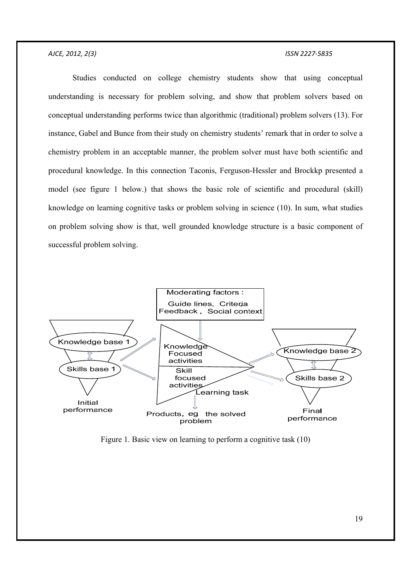Studies conducted on college chemistry students show that using conceptual understanding is necessary for problem solving, and show that problem solvers based on conceptual understanding performs twice than algorithmic (traditional) problem solvers (13). For instance, Gabel and Bunce from their study on chemistry students' remark that in order to solve a chemistry problem in an acceptable manner, the problem solver must have both scientific and procedural knowledge. In this connection Taconis, Ferguson-Hessler and Brockkp presented a model (see figure 1 below.) that shows the basic role of scientific and procedural (skill) knowledge on learning cognitive tasks or problem solving in science (10). In sum, what studies on problem solving show is that, well grounded knowledge structure is a basic component of successful problem solving.



Figure 1. Basic view on learning to perform a cognitive task (10)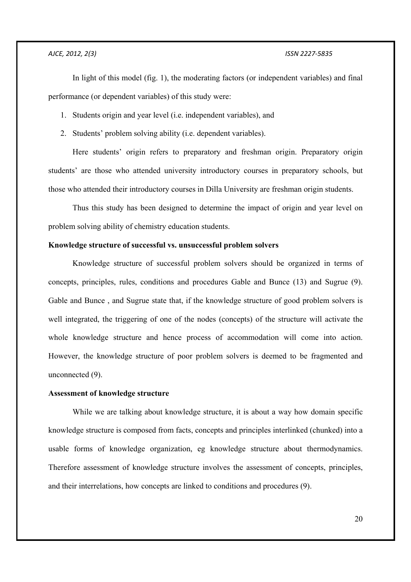In light of this model (fig. 1), the moderating factors (or independent variables) and final performance (or dependent variables) of this study were:

1. Students origin and year level (i.e. independent variables), and

2. Students' problem solving ability (i.e. dependent variables).

 Here students' origin refers to preparatory and freshman origin. Preparatory origin students' are those who attended university introductory courses in preparatory schools, but those who attended their introductory courses in Dilla University are freshman origin students.

 Thus this study has been designed to determine the impact of origin and year level on problem solving ability of chemistry education students.

### **Knowledge structure of successful vs. unsuccessful problem solvers**

 Knowledge structure of successful problem solvers should be organized in terms of concepts, principles, rules, conditions and procedures Gable and Bunce (13) and Sugrue (9). Gable and Bunce , and Sugrue state that, if the knowledge structure of good problem solvers is well integrated, the triggering of one of the nodes (concepts) of the structure will activate the whole knowledge structure and hence process of accommodation will come into action. However, the knowledge structure of poor problem solvers is deemed to be fragmented and unconnected (9).

### **Assessment of knowledge structure**

 While we are talking about knowledge structure, it is about a way how domain specific knowledge structure is composed from facts, concepts and principles interlinked (chunked) into a usable forms of knowledge organization, eg knowledge structure about thermodynamics. Therefore assessment of knowledge structure involves the assessment of concepts, principles, and their interrelations, how concepts are linked to conditions and procedures (9).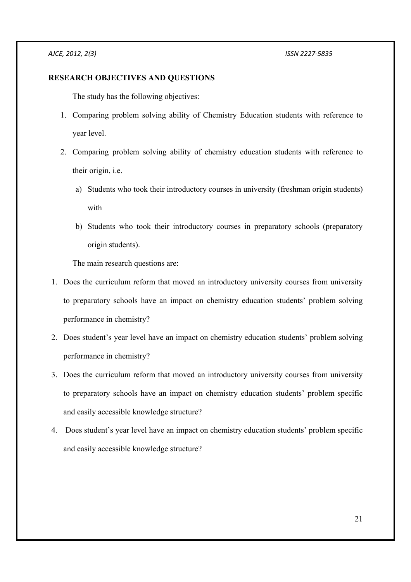### **RESEARCH OBJECTIVES AND QUESTIONS**

The study has the following objectives:

- 1. Comparing problem solving ability of Chemistry Education students with reference to year level.
- 2. Comparing problem solving ability of chemistry education students with reference to their origin, i.e.
	- a) Students who took their introductory courses in university (freshman origin students) with
	- b) Students who took their introductory courses in preparatory schools (preparatory origin students).

The main research questions are:

- 1. Does the curriculum reform that moved an introductory university courses from university to preparatory schools have an impact on chemistry education students' problem solving performance in chemistry?
- 2. Does student's year level have an impact on chemistry education students' problem solving performance in chemistry?
- 3. Does the curriculum reform that moved an introductory university courses from university to preparatory schools have an impact on chemistry education students' problem specific and easily accessible knowledge structure?
- 4. Does student's year level have an impact on chemistry education students' problem specific and easily accessible knowledge structure?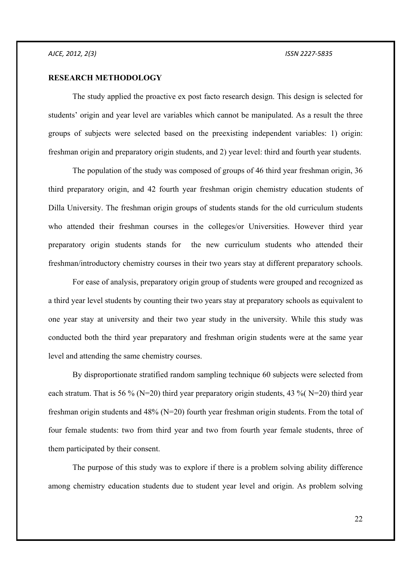### **RESEARCH METHODOLOGY**

 The study applied the proactive ex post facto research design. This design is selected for students' origin and year level are variables which cannot be manipulated. As a result the three groups of subjects were selected based on the preexisting independent variables: 1) origin: freshman origin and preparatory origin students, and 2) year level: third and fourth year students.

 The population of the study was composed of groups of 46 third year freshman origin, 36 third preparatory origin, and 42 fourth year freshman origin chemistry education students of Dilla University. The freshman origin groups of students stands for the old curriculum students who attended their freshman courses in the colleges/or Universities. However third year preparatory origin students stands for the new curriculum students who attended their freshman/introductory chemistry courses in their two years stay at different preparatory schools.

 For ease of analysis, preparatory origin group of students were grouped and recognized as a third year level students by counting their two years stay at preparatory schools as equivalent to one year stay at university and their two year study in the university. While this study was conducted both the third year preparatory and freshman origin students were at the same year level and attending the same chemistry courses.

 By disproportionate stratified random sampling technique 60 subjects were selected from each stratum. That is 56 % (N=20) third year preparatory origin students, 43 % (N=20) third year freshman origin students and 48% (N=20) fourth year freshman origin students. From the total of four female students: two from third year and two from fourth year female students, three of them participated by their consent.

 The purpose of this study was to explore if there is a problem solving ability difference among chemistry education students due to student year level and origin. As problem solving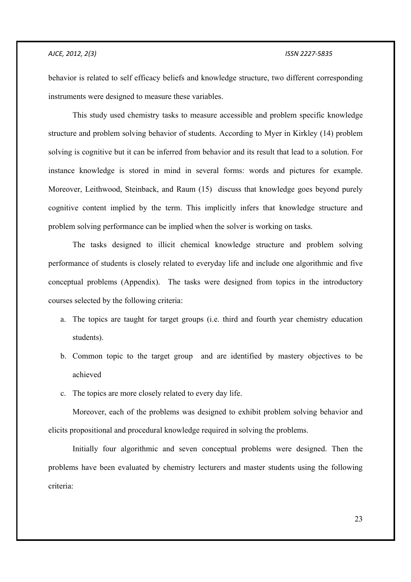behavior is related to self efficacy beliefs and knowledge structure, two different corresponding instruments were designed to measure these variables.

 This study used chemistry tasks to measure accessible and problem specific knowledge structure and problem solving behavior of students. According to Myer in Kirkley (14) problem solving is cognitive but it can be inferred from behavior and its result that lead to a solution. For instance knowledge is stored in mind in several forms: words and pictures for example. Moreover, Leithwood, Steinback, and Raum (15) discuss that knowledge goes beyond purely cognitive content implied by the term. This implicitly infers that knowledge structure and problem solving performance can be implied when the solver is working on tasks.

 The tasks designed to illicit chemical knowledge structure and problem solving performance of students is closely related to everyday life and include one algorithmic and five conceptual problems (Appendix). The tasks were designed from topics in the introductory courses selected by the following criteria:

- a. The topics are taught for target groups (i.e. third and fourth year chemistry education students).
- b. Common topic to the target group and are identified by mastery objectives to be achieved
- c. The topics are more closely related to every day life.

 Moreover, each of the problems was designed to exhibit problem solving behavior and elicits propositional and procedural knowledge required in solving the problems.

 Initially four algorithmic and seven conceptual problems were designed. Then the problems have been evaluated by chemistry lecturers and master students using the following criteria: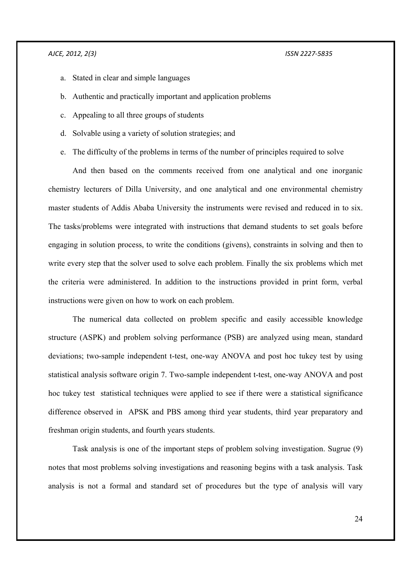- a. Stated in clear and simple languages
- b. Authentic and practically important and application problems
- c. Appealing to all three groups of students
- d. Solvable using a variety of solution strategies; and
- e. The difficulty of the problems in terms of the number of principles required to solve

 And then based on the comments received from one analytical and one inorganic chemistry lecturers of Dilla University, and one analytical and one environmental chemistry master students of Addis Ababa University the instruments were revised and reduced in to six. The tasks/problems were integrated with instructions that demand students to set goals before engaging in solution process, to write the conditions (givens), constraints in solving and then to write every step that the solver used to solve each problem. Finally the six problems which met the criteria were administered. In addition to the instructions provided in print form, verbal instructions were given on how to work on each problem.

 The numerical data collected on problem specific and easily accessible knowledge structure (ASPK) and problem solving performance (PSB) are analyzed using mean, standard deviations; two-sample independent t-test, one-way ANOVA and post hoc tukey test by using statistical analysis software origin 7. Two-sample independent t-test, one-way ANOVA and post hoc tukey test statistical techniques were applied to see if there were a statistical significance difference observed in APSK and PBS among third year students, third year preparatory and freshman origin students, and fourth years students.

 Task analysis is one of the important steps of problem solving investigation. Sugrue (9) notes that most problems solving investigations and reasoning begins with a task analysis. Task analysis is not a formal and standard set of procedures but the type of analysis will vary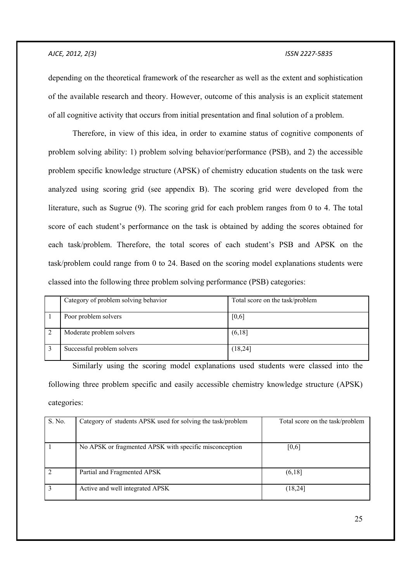depending on the theoretical framework of the researcher as well as the extent and sophistication of the available research and theory. However, outcome of this analysis is an explicit statement of all cognitive activity that occurs from initial presentation and final solution of a problem.

 Therefore, in view of this idea, in order to examine status of cognitive components of problem solving ability: 1) problem solving behavior/performance (PSB), and 2) the accessible problem specific knowledge structure (APSK) of chemistry education students on the task were analyzed using scoring grid (see appendix B). The scoring grid were developed from the literature, such as Sugrue (9). The scoring grid for each problem ranges from 0 to 4. The total score of each student's performance on the task is obtained by adding the scores obtained for each task/problem. Therefore, the total scores of each student's PSB and APSK on the task/problem could range from 0 to 24. Based on the scoring model explanations students were classed into the following three problem solving performance (PSB) categories:

| Category of problem solving behavior | Total score on the task/problem |
|--------------------------------------|---------------------------------|
| Poor problem solvers                 | $[0,6]$                         |
| Moderate problem solvers             | (6,18)                          |
| Successful problem solvers           | (18,24)                         |

 Similarly using the scoring model explanations used students were classed into the following three problem specific and easily accessible chemistry knowledge structure (APSK) categories:

| S. No. | Category of students APSK used for solving the task/problem | Total score on the task/problem |
|--------|-------------------------------------------------------------|---------------------------------|
|        | No APSK or fragmented APSK with specific misconception      | [0,6]                           |
|        | Partial and Fragmented APSK                                 | (6,18)                          |
|        | Active and well integrated APSK                             | (18,24)                         |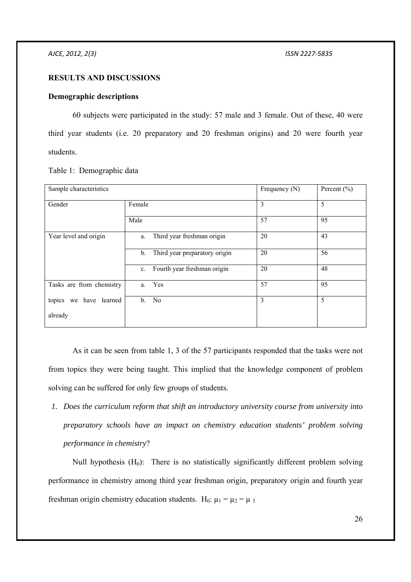### **RESULTS AND DISCUSSIONS**

### **Demographic descriptions**

 60 subjects were participated in the study: 57 male and 3 female. Out of these, 40 were third year students (i.e. 20 preparatory and 20 freshman origins) and 20 were fourth year students.

| Sample characteristics   |        |                               | Frequency (N) | Percent $(\% )$ |
|--------------------------|--------|-------------------------------|---------------|-----------------|
| Gender                   | Female |                               | 3             | 5               |
|                          | Male   |                               | 57            | 95              |
| Year level and origin    | a.     | Third year freshman origin    | 20            | 43              |
|                          | b.     | Third year preparatory origin | 20            | 56              |
|                          | c.     | Fourth year freshman origin   | 20            | 48              |
| Tasks are from chemistry | a.     | Yes                           | 57            | 95              |
| topics we have learned   | b.     | No                            | 3             | 5               |
| already                  |        |                               |               |                 |

Table 1: Demographic data

 As it can be seen from table 1, 3 of the 57 participants responded that the tasks were not from topics they were being taught. This implied that the knowledge component of problem solving can be suffered for only few groups of students.

*1. Does the curriculum reform that shift an introductory university course from university into preparatory schools have an impact on chemistry education students' problem solving performance in chemistry*?

Null hypothesis  $(H_0)$ : There is no statistically significantly different problem solving performance in chemistry among third year freshman origin, preparatory origin and fourth year freshman origin chemistry education students. H<sub>0</sub>:  $\mu_1 = \mu_2 = \mu_3$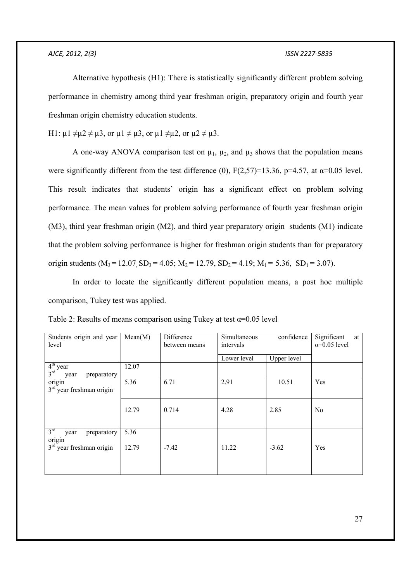Alternative hypothesis (H1): There is statistically significantly different problem solving performance in chemistry among third year freshman origin, preparatory origin and fourth year freshman origin chemistry education students.

H1:  $\mu$ 1  $\neq \mu$ 2  $\neq \mu$ 3, or  $\mu$ 1  $\neq \mu$ 3, or  $\mu$ 1  $\neq \mu$ 2, or  $\mu$ 2  $\neq \mu$ 3.

A one-way ANOVA comparison test on  $\mu_1$ ,  $\mu_2$ , and  $\mu_3$  shows that the population means were significantly different from the test difference (0),  $F(2,57)=13.36$ ,  $p=4.57$ , at  $\alpha=0.05$  level. This result indicates that students' origin has a significant effect on problem solving performance. The mean values for problem solving performance of fourth year freshman origin (M3), third year freshman origin (M2), and third year preparatory origin students (M1) indicate that the problem solving performance is higher for freshman origin students than for preparatory origin students  $(M_3 = 12.07 \text{ SD}_3 = 4.05; M_2 = 12.79, SD_2 = 4.19; M_1 = 5.36, SD_1 = 3.07$ .

 In order to locate the significantly different population means, a post hoc multiple comparison, Tukey test was applied.

| Students origin and year<br>level                    | Mean(M) | Difference<br>between means | Simultaneous<br>intervals | confidence  | Significant<br>at<br>$\alpha$ =0.05 level |
|------------------------------------------------------|---------|-----------------------------|---------------------------|-------------|-------------------------------------------|
|                                                      |         |                             | Lower level               | Upper level |                                           |
| $4th$ year<br>3 <sup>rd</sup><br>preparatory<br>year | 12.07   |                             |                           |             |                                           |
| origin<br>$3rd$ year freshman origin                 | 5.36    | 6.71                        | 2.91                      | 10.51       | Yes                                       |
|                                                      | 12.79   | 0.714                       | 4.28                      | 2.85        | N <sub>0</sub>                            |
| 3 <sup>rd</sup><br>preparatory<br>year<br>origin     | 5.36    |                             |                           |             |                                           |
| $3rd$ year freshman origin                           | 12.79   | $-7.42$                     | 11.22                     | $-3.62$     | Yes                                       |

|  | Table 2: Results of means comparison using Tukey at test $\alpha$ =0.05 level |  |  |
|--|-------------------------------------------------------------------------------|--|--|
|  |                                                                               |  |  |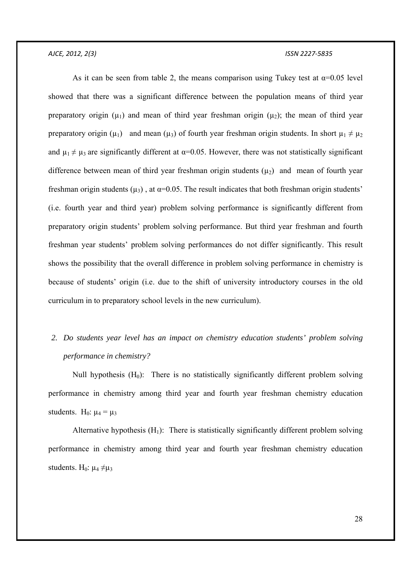As it can be seen from table 2, the means comparison using Tukey test at  $\alpha$ =0.05 level showed that there was a significant difference between the population means of third year preparatory origin  $(\mu_1)$  and mean of third year freshman origin  $(\mu_2)$ ; the mean of third year preparatory origin ( $\mu_1$ ) and mean ( $\mu_3$ ) of fourth year freshman origin students. In short  $\mu_1 \neq \mu_2$ and  $\mu_1 \neq \mu_3$  are significantly different at  $\alpha$ =0.05. However, there was not statistically significant difference between mean of third year freshman origin students  $(u_2)$  and mean of fourth year freshman origin students ( $\mu_3$ ), at  $\alpha$ =0.05. The result indicates that both freshman origin students' (i.e. fourth year and third year) problem solving performance is significantly different from preparatory origin students' problem solving performance. But third year freshman and fourth freshman year students' problem solving performances do not differ significantly. This result shows the possibility that the overall difference in problem solving performance in chemistry is because of students' origin (i.e. due to the shift of university introductory courses in the old curriculum in to preparatory school levels in the new curriculum).

# *2. Do students year level has an impact on chemistry education students' problem solving performance in chemistry?*

Null hypothesis  $(H_0)$ : There is no statistically significantly different problem solving performance in chemistry among third year and fourth year freshman chemistry education students. H<sub>0</sub>:  $\mu_4 = \mu_3$ 

Alternative hypothesis  $(H_1)$ : There is statistically significantly different problem solving performance in chemistry among third year and fourth year freshman chemistry education students. H<sub>0</sub>:  $\mu_4 \neq \mu_3$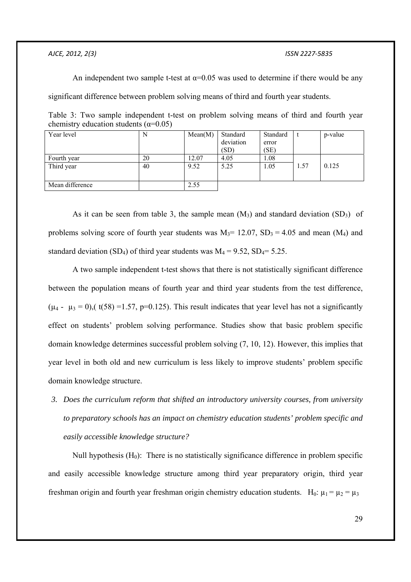An independent two sample t-test at  $\alpha$ =0.05 was used to determine if there would be any

significant difference between problem solving means of third and fourth year students.

Table 3: Two sample independent t-test on problem solving means of third and fourth year chemistry education students  $(\alpha=0.05)$ 

| Year level      | N  | Mean(M) | Standard<br>deviation | Standard      |      | p-value |
|-----------------|----|---------|-----------------------|---------------|------|---------|
|                 |    |         | (SD)                  | error<br>(SE) |      |         |
|                 |    |         |                       |               |      |         |
| Fourth year     | 20 | 12.07   | 4.05                  | 1.08          |      |         |
| Third year      | 40 | 9.52    | 5.25                  | 1.05          | 1.57 | 0.125   |
|                 |    |         |                       |               |      |         |
|                 |    |         |                       |               |      |         |
| Mean difference |    | 2.55    |                       |               |      |         |

As it can be seen from table 3, the sample mean  $(M_3)$  and standard deviation  $(SD_3)$  of problems solving score of fourth year students was  $M_3$ = 12.07,  $SD_3$  = 4.05 and mean (M<sub>4</sub>) and standard deviation (SD<sub>4</sub>) of third year students was  $M_4 = 9.52$ , SD<sub>4</sub>= 5.25.

 A two sample independent t-test shows that there is not statistically significant difference between the population means of fourth year and third year students from the test difference,  $(\mu_4 - \mu_3 = 0)$ , (t(58) =1.57, p=0.125). This result indicates that year level has not a significantly effect on students' problem solving performance. Studies show that basic problem specific domain knowledge determines successful problem solving (7, 10, 12). However, this implies that year level in both old and new curriculum is less likely to improve students' problem specific domain knowledge structure.

*3. Does the curriculum reform that shifted an introductory university courses, from university to preparatory schools has an impact on chemistry education students' problem specific and easily accessible knowledge structure?* 

Null hypothesis  $(H_0)$ : There is no statistically significance difference in problem specific and easily accessible knowledge structure among third year preparatory origin, third year freshman origin and fourth year freshman origin chemistry education students. H<sub>0</sub>:  $\mu_1 = \mu_2 = \mu_3$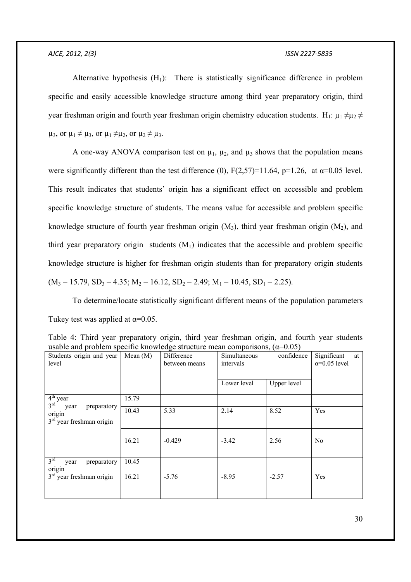Alternative hypothesis  $(H_1)$ : There is statistically significance difference in problem specific and easily accessible knowledge structure among third year preparatory origin, third year freshman origin and fourth year freshman origin chemistry education students. H<sub>1</sub>:  $\mu_1 \neq \mu_2 \neq$  $\mu_3$ , or  $\mu_1 \neq \mu_3$ , or  $\mu_1 \neq \mu_2$ , or  $\mu_2 \neq \mu_3$ .

A one-way ANOVA comparison test on  $\mu_1$ ,  $\mu_2$ , and  $\mu_3$  shows that the population means were significantly different than the test difference (0),  $F(2,57)=11.64$ ,  $p=1.26$ , at  $\alpha=0.05$  level. This result indicates that students' origin has a significant effect on accessible and problem specific knowledge structure of students. The means value for accessible and problem specific knowledge structure of fourth year freshman origin  $(M_3)$ , third year freshman origin  $(M_2)$ , and third year preparatory origin students  $(M_1)$  indicates that the accessible and problem specific knowledge structure is higher for freshman origin students than for preparatory origin students  $(M_3 = 15.79, SD_3 = 4.35; M_2 = 16.12, SD_2 = 2.49; M_1 = 10.45, SD_1 = 2.25).$ 

 To determine/locate statistically significant different means of the population parameters Tukey test was applied at  $\alpha$ =0.05.

|  | Table 4: Third year preparatory origin, third year freshman origin, and fourth year students                                          |  |  |  |  |  |
|--|---------------------------------------------------------------------------------------------------------------------------------------|--|--|--|--|--|
|  | usable and problem specific knowledge structure mean comparisons, $(\alpha=0.05)$                                                     |  |  |  |  |  |
|  | $\alpha$ is a state of the $\alpha$ in $\alpha$ in $\alpha$ in $\alpha$ is the state of $\alpha$ in $\alpha$ is the state of $\alpha$ |  |  |  |  |  |

| Students origin and year<br>level                           | Mean $(M)$ | Difference<br>between means | confidence<br>Simultaneous<br>intervals |             | Significant<br>at<br>$\alpha=0.05$ level |
|-------------------------------------------------------------|------------|-----------------------------|-----------------------------------------|-------------|------------------------------------------|
|                                                             |            |                             | Lower level                             | Upper level |                                          |
| $4th$ year<br>$3^{\text{rd}}$                               | 15.79      |                             |                                         |             |                                          |
| preparatory<br>year<br>origin<br>$3rd$ year freshman origin | 10.43      | 5.33                        | 2.14                                    | 8.52        | Yes                                      |
|                                                             | 16.21      | $-0.429$                    | $-3.42$                                 | 2.56        | N <sub>0</sub>                           |
| 3 <sup>rd</sup><br>preparatory<br>year<br>origin            | 10.45      |                             |                                         |             |                                          |
| $3rd$ year freshman origin                                  | 16.21      | $-5.76$                     | $-8.95$                                 | $-2.57$     | Yes                                      |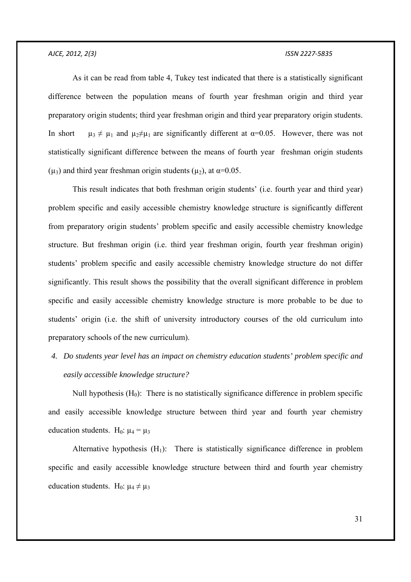As it can be read from table 4, Tukey test indicated that there is a statistically significant difference between the population means of fourth year freshman origin and third year preparatory origin students; third year freshman origin and third year preparatory origin students. In short  $\mu_3 \neq \mu_1$  and  $\mu_2 \neq \mu_1$  are significantly different at  $\alpha = 0.05$ . However, there was not statistically significant difference between the means of fourth year freshman origin students ( $\mu_3$ ) and third year freshman origin students ( $\mu_2$ ), at  $\alpha$ =0.05.

 This result indicates that both freshman origin students' (i.e. fourth year and third year) problem specific and easily accessible chemistry knowledge structure is significantly different from preparatory origin students' problem specific and easily accessible chemistry knowledge structure. But freshman origin (i.e. third year freshman origin, fourth year freshman origin) students' problem specific and easily accessible chemistry knowledge structure do not differ significantly. This result shows the possibility that the overall significant difference in problem specific and easily accessible chemistry knowledge structure is more probable to be due to students' origin (i.e. the shift of university introductory courses of the old curriculum into preparatory schools of the new curriculum).

*4. Do students year level has an impact on chemistry education students' problem specific and easily accessible knowledge structure?* 

Null hypothesis  $(H_0)$ : There is no statistically significance difference in problem specific and easily accessible knowledge structure between third year and fourth year chemistry education students. H<sub>0</sub>:  $\mu_4 = \mu_3$ 

Alternative hypothesis  $(H_1)$ : There is statistically significance difference in problem specific and easily accessible knowledge structure between third and fourth year chemistry education students. H<sub>0</sub>:  $\mu_4 \neq \mu_3$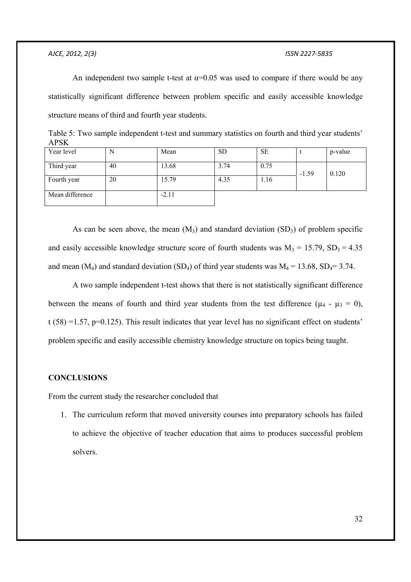An independent two sample t-test at  $\alpha$ =0.05 was used to compare if there would be any statistically significant difference between problem specific and easily accessible knowledge structure means of third and fourth year students.

| $1 \mathbf{H}$  |    |         |           |           |         |         |
|-----------------|----|---------|-----------|-----------|---------|---------|
| Year level      |    | Mean    | <b>SD</b> | <b>SE</b> |         | p-value |
| Third year      | 40 | 13.68   | 3.74      | 0.75      | $-1.59$ | 0.120   |
| Fourth year     | 20 | 15.79   | 4.35      | 1.16      |         |         |
| Mean difference |    | $-2.11$ |           |           |         |         |

Table 5: Two sample independent t-test and summary statistics on fourth and third year students' APSK

As can be seen above, the mean  $(M_3)$  and standard deviation  $(SD_3)$  of problem specific and easily accessible knowledge structure score of fourth students was  $M_3 = 15.79$ ,  $SD_3 = 4.35$ and mean (M<sub>4</sub>) and standard deviation (SD<sub>4</sub>) of third year students was  $M_4 = 13.68$ , SD<sub>4</sub>= 3.74.

 A two sample independent t-test shows that there is not statistically significant difference between the means of fourth and third year students from the test difference ( $\mu_4$  -  $\mu_3$  = 0), t (58) =1.57, p=0.125). This result indicates that year level has no significant effect on students' problem specific and easily accessible chemistry knowledge structure on topics being taught.

### **CONCLUSIONS**

From the current study the researcher concluded that

1. The curriculum reform that moved university courses into preparatory schools has failed to achieve the objective of teacher education that aims to produces successful problem solvers.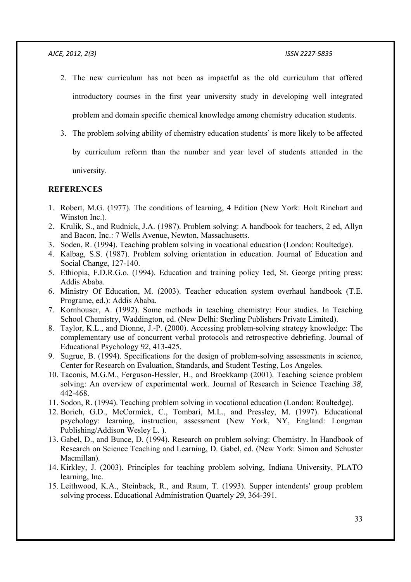- 2. The new curriculum has not been as impactful as the old curriculum that offered introductory courses in the first year university study in developing well integrated problem and domain specific chemical knowledge among chemistry education students.
- 3. The problem solving ability of chemistry education students' is more likely to be affected

by curriculum reform than the number and year level of students attended in the

university.

### **REFERENCES**

- 1. Robert, M.G. (1977). The conditions of learning, 4 Edition (New York: Holt Rinehart and Winston Inc.).
- 2. Krulik, S., and Rudnick, J.A. (1987). Problem solving: A handbook for teachers, 2 ed, Allyn and Bacon, Inc.: 7 Wells Avenue, Newton, Massachusetts.
- 3. Soden, R. (1994). Teaching problem solving in vocational education (London: Roultedge).
- 4. Kalbag, S.S. (1987). Problem solving orientation in education. Journal of Education and Social Change, 127-140.
- 5. Ethiopia, F.D.R.G.o. (1994). Education and training policy **1**ed, St. George priting press: Addis Ababa.
- 6. Ministry Of Education, M. (2003). Teacher education system overhaul handbook (T.E. Programe, ed.): Addis Ababa.
- 7. Kornhouser, A. (1992). Some methods in teaching chemistry: Four studies. In Teaching School Chemistry, Waddington, ed. (New Delhi: Sterling Publishers Private Limited).
- 8. Taylor, K.L., and Dionne, J.-P. (2000). Accessing problem-solving strategy knowledge: The complementary use of concurrent verbal protocols and retrospective debriefing. Journal of Educational Psychology *92*, 413-425.
- 9. Sugrue, B. (1994). Specifications for the design of problem-solving assessments in science, Center for Research on Evaluation, Standards, and Student Testing, Los Angeles.
- 10. Taconis, M.G.M., Ferguson-Hessler, H., and Broekkamp (2001). Teaching science problem solving: An overview of experimental work. Journal of Research in Science Teaching *38*, 442-468.
- 11. Sodon, R. (1994). Teaching problem solving in vocational education (London: Roultedge).
- 12. Borich, G.D., McCormick, C., Tombari, M.L., and Pressley, M. (1997). Educational psychology: learning, instruction, assessment (New York, NY, England: Longman Publishing/Addison Wesley L. ).
- 13. Gabel, D., and Bunce, D. (1994). Research on problem solving: Chemistry. In Handbook of Research on Science Teaching and Learning, D. Gabel, ed. (New York: Simon and Schuster Macmillan).
- 14. Kirkley, J. (2003). Principles for teaching problem solving, Indiana University, PLATO learning, Inc.
- 15. Leithwood, K.A., Steinback, R., and Raum, T. (1993). Supper intendents' group problem solving process. Educational Administration Quartely *29*, 364-391.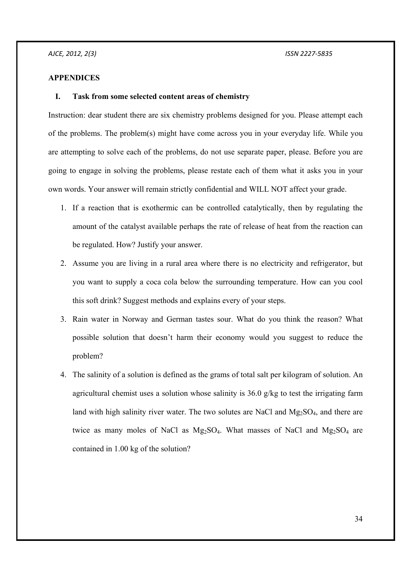### **APPENDICES**

### **I. Task from some selected content areas of chemistry**

Instruction: dear student there are six chemistry problems designed for you. Please attempt each of the problems. The problem(s) might have come across you in your everyday life. While you are attempting to solve each of the problems, do not use separate paper, please. Before you are going to engage in solving the problems, please restate each of them what it asks you in your own words. Your answer will remain strictly confidential and WILL NOT affect your grade.

- 1. If a reaction that is exothermic can be controlled catalytically, then by regulating the amount of the catalyst available perhaps the rate of release of heat from the reaction can be regulated. How? Justify your answer.
- 2. Assume you are living in a rural area where there is no electricity and refrigerator, but you want to supply a coca cola below the surrounding temperature. How can you cool this soft drink? Suggest methods and explains every of your steps.
- 3. Rain water in Norway and German tastes sour. What do you think the reason? What possible solution that doesn't harm their economy would you suggest to reduce the problem?
- 4. The salinity of a solution is defined as the grams of total salt per kilogram of solution. An agricultural chemist uses a solution whose salinity is 36.0 g/kg to test the irrigating farm land with high salinity river water. The two solutes are NaCl and Mg<sub>2</sub>SO<sub>4</sub>, and there are twice as many moles of NaCl as  $Mg_2SO_4$ . What masses of NaCl and  $Mg_2SO_4$  are contained in 1.00 kg of the solution?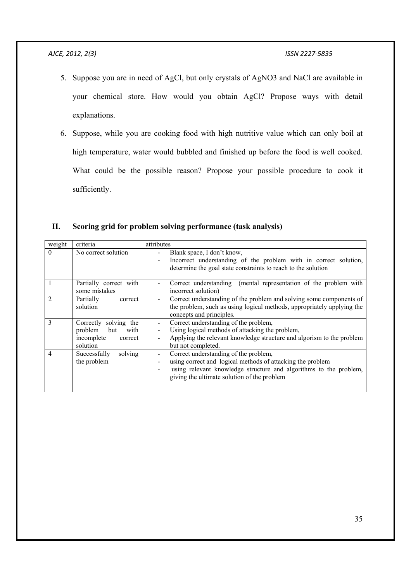- 5. Suppose you are in need of AgCl, but only crystals of AgNO3 and NaCl are available in your chemical store. How would you obtain AgCl? Propose ways with detail explanations.
- 6. Suppose, while you are cooking food with high nutritive value which can only boil at high temperature, water would bubbled and finished up before the food is well cooked. What could be the possible reason? Propose your possible procedure to cook it sufficiently.

| weight   | criteria                                                                             | attributes                                                                                                                                                                                                              |
|----------|--------------------------------------------------------------------------------------|-------------------------------------------------------------------------------------------------------------------------------------------------------------------------------------------------------------------------|
| $\Omega$ | No correct solution                                                                  | Blank space, I don't know,<br>Incorrect understanding of the problem with in correct solution,<br>determine the goal state constraints to reach to the solution                                                         |
|          | Partially correct with<br>some mistakes                                              | Correct understanding (mental representation of the problem with<br>incorrect solution)                                                                                                                                 |
|          | Partially<br>correct<br>solution                                                     | Correct understanding of the problem and solving some components of<br>the problem, such as using logical methods, appropriately applying the<br>concepts and principles.                                               |
| 3        | Correctly solving the<br>problem<br>but<br>with<br>incomplete<br>correct<br>solution | Correct understanding of the problem,<br>Using logical methods of attacking the problem,<br>Applying the relevant knowledge structure and algorism to the problem<br>but not completed.                                 |
| 4        | Successfully<br>solving<br>the problem                                               | Correct understanding of the problem,<br>using correct and logical methods of attacking the problem<br>using relevant knowledge structure and algorithms to the problem,<br>giving the ultimate solution of the problem |

**II. Scoring grid for problem solving performance (task analysis)**